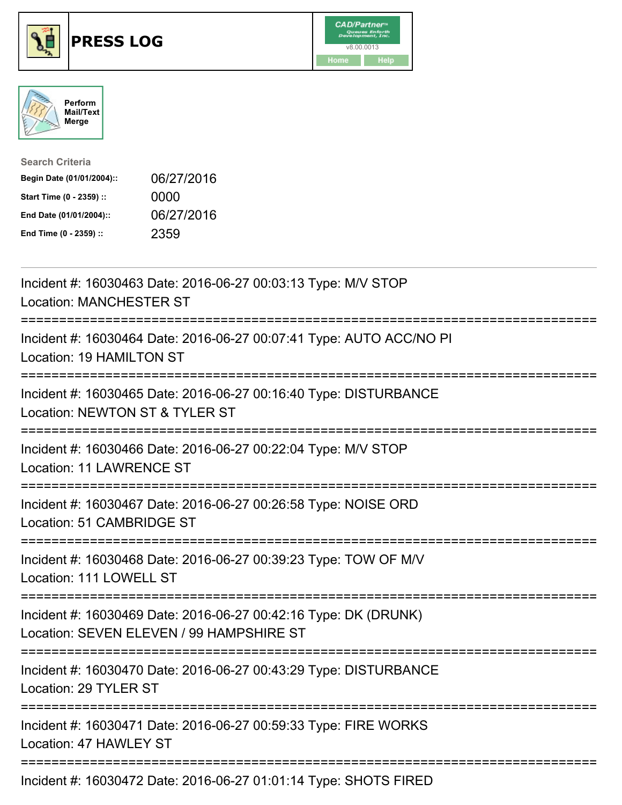





| <b>Search Criteria</b>    |            |
|---------------------------|------------|
| Begin Date (01/01/2004):: | 06/27/2016 |
| Start Time (0 - 2359) ::  | 0000       |
| End Date (01/01/2004)::   | 06/27/2016 |
| End Time (0 - 2359) ::    | 2359       |

| Incident #: 16030463 Date: 2016-06-27 00:03:13 Type: M/V STOP<br><b>Location: MANCHESTER ST</b>                                                     |
|-----------------------------------------------------------------------------------------------------------------------------------------------------|
| Incident #: 16030464 Date: 2016-06-27 00:07:41 Type: AUTO ACC/NO PI<br>Location: 19 HAMILTON ST                                                     |
| Incident #: 16030465 Date: 2016-06-27 00:16:40 Type: DISTURBANCE<br>Location: NEWTON ST & TYLER ST                                                  |
| Incident #: 16030466 Date: 2016-06-27 00:22:04 Type: M/V STOP<br><b>Location: 11 LAWRENCE ST</b>                                                    |
| Incident #: 16030467 Date: 2016-06-27 00:26:58 Type: NOISE ORD<br>Location: 51 CAMBRIDGE ST                                                         |
| Incident #: 16030468 Date: 2016-06-27 00:39:23 Type: TOW OF M/V<br>Location: 111 LOWELL ST                                                          |
| Incident #: 16030469 Date: 2016-06-27 00:42:16 Type: DK (DRUNK)<br>Location: SEVEN ELEVEN / 99 HAMPSHIRE ST<br>;=================================== |
| Incident #: 16030470 Date: 2016-06-27 00:43:29 Type: DISTURBANCE<br>Location: 29 TYLER ST                                                           |
| Incident #: 16030471 Date: 2016-06-27 00:59:33 Type: FIRE WORKS<br>Location: 47 HAWLEY ST                                                           |
| Incident #: 16030472 Date: 2016-06-27 01:01:14 Type: SHOTS FIRED                                                                                    |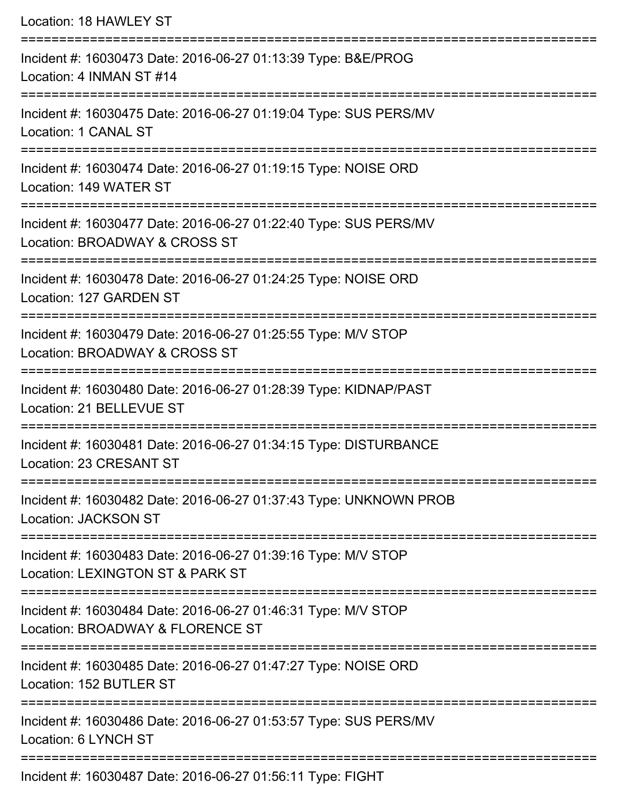| Location: 18 HAWLEY ST                                                                                                                 |
|----------------------------------------------------------------------------------------------------------------------------------------|
| Incident #: 16030473 Date: 2016-06-27 01:13:39 Type: B&E/PROG<br>Location: 4 INMAN ST #14                                              |
| Incident #: 16030475 Date: 2016-06-27 01:19:04 Type: SUS PERS/MV<br>Location: 1 CANAL ST                                               |
| Incident #: 16030474 Date: 2016-06-27 01:19:15 Type: NOISE ORD<br>Location: 149 WATER ST                                               |
| Incident #: 16030477 Date: 2016-06-27 01:22:40 Type: SUS PERS/MV<br>Location: BROADWAY & CROSS ST<br>================================= |
| Incident #: 16030478 Date: 2016-06-27 01:24:25 Type: NOISE ORD<br>Location: 127 GARDEN ST                                              |
| Incident #: 16030479 Date: 2016-06-27 01:25:55 Type: M/V STOP<br>Location: BROADWAY & CROSS ST                                         |
| Incident #: 16030480 Date: 2016-06-27 01:28:39 Type: KIDNAP/PAST<br>Location: 21 BELLEVUE ST                                           |
| ----------------<br>Incident #: 16030481 Date: 2016-06-27 01:34:15 Type: DISTURBANCE<br>Location: 23 CRESANT ST                        |
| Incident #: 16030482 Date: 2016-06-27 01:37:43 Type: UNKNOWN PROB<br><b>Location: JACKSON ST</b>                                       |
| Incident #: 16030483 Date: 2016-06-27 01:39:16 Type: M/V STOP<br>Location: LEXINGTON ST & PARK ST                                      |
| Incident #: 16030484 Date: 2016-06-27 01:46:31 Type: M/V STOP<br>Location: BROADWAY & FLORENCE ST                                      |
| Incident #: 16030485 Date: 2016-06-27 01:47:27 Type: NOISE ORD<br>Location: 152 BUTLER ST                                              |
| Incident #: 16030486 Date: 2016-06-27 01:53:57 Type: SUS PERS/MV<br>Location: 6 LYNCH ST                                               |
| $Incidont #: 16030497$ Dato: $2016$ 06.27 01:56:11 Tupe: $EICUT$                                                                       |

Incident #: 16030487 Date: 2016-06-27 01:56:11 Type: FIGHT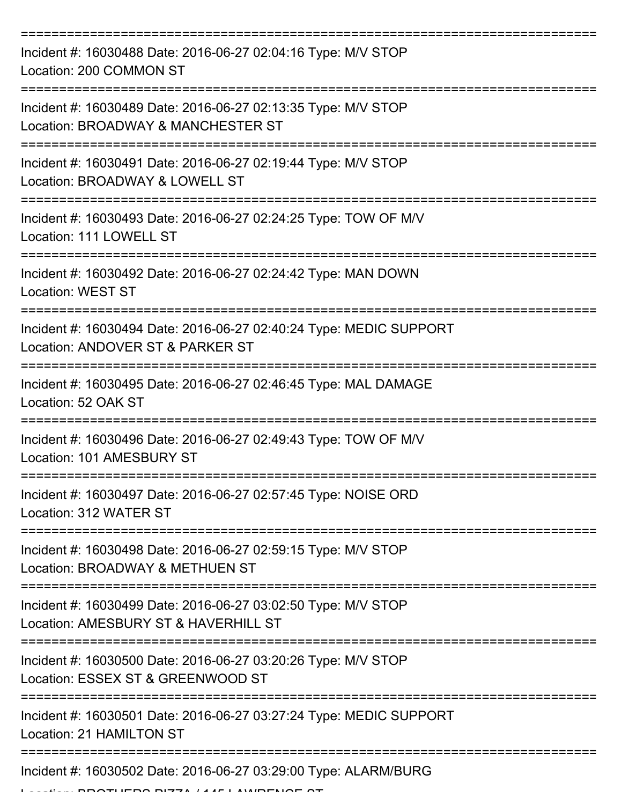| Incident #: 16030488 Date: 2016-06-27 02:04:16 Type: M/V STOP<br>Location: 200 COMMON ST               |
|--------------------------------------------------------------------------------------------------------|
| Incident #: 16030489 Date: 2016-06-27 02:13:35 Type: M/V STOP<br>Location: BROADWAY & MANCHESTER ST    |
| Incident #: 16030491 Date: 2016-06-27 02:19:44 Type: M/V STOP<br>Location: BROADWAY & LOWELL ST        |
| Incident #: 16030493 Date: 2016-06-27 02:24:25 Type: TOW OF M/V<br>Location: 111 LOWELL ST             |
| Incident #: 16030492 Date: 2016-06-27 02:24:42 Type: MAN DOWN<br><b>Location: WEST ST</b>              |
| Incident #: 16030494 Date: 2016-06-27 02:40:24 Type: MEDIC SUPPORT<br>Location: ANDOVER ST & PARKER ST |
| Incident #: 16030495 Date: 2016-06-27 02:46:45 Type: MAL DAMAGE<br>Location: 52 OAK ST                 |
| Incident #: 16030496 Date: 2016-06-27 02:49:43 Type: TOW OF M/V<br>Location: 101 AMESBURY ST           |
| Incident #: 16030497 Date: 2016-06-27 02:57:45 Type: NOISE ORD<br>Location: 312 WATER ST               |
| Incident #: 16030498 Date: 2016-06-27 02:59:15 Type: M/V STOP<br>Location: BROADWAY & METHUEN ST       |
| Incident #: 16030499 Date: 2016-06-27 03:02:50 Type: M/V STOP<br>Location: AMESBURY ST & HAVERHILL ST  |
| Incident #: 16030500 Date: 2016-06-27 03:20:26 Type: M/V STOP<br>Location: ESSEX ST & GREENWOOD ST     |
| Incident #: 16030501 Date: 2016-06-27 03:27:24 Type: MEDIC SUPPORT<br>Location: 21 HAMILTON ST         |
| Incident #: 16030502 Date: 2016-06-27 03:29:00 Type: ALARM/BURG                                        |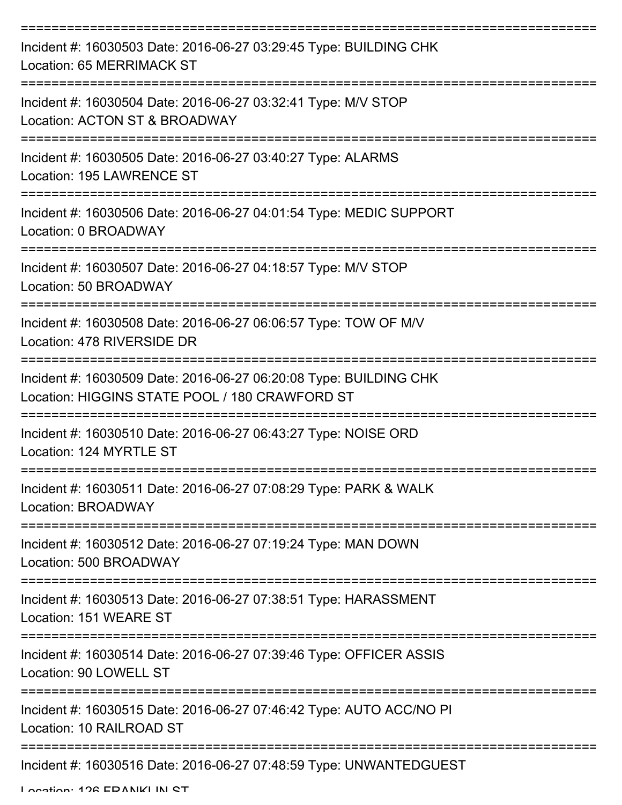| Incident #: 16030503 Date: 2016-06-27 03:29:45 Type: BUILDING CHK<br>Location: 65 MERRIMACK ST                      |
|---------------------------------------------------------------------------------------------------------------------|
| Incident #: 16030504 Date: 2016-06-27 03:32:41 Type: M/V STOP<br>Location: ACTON ST & BROADWAY                      |
| Incident #: 16030505 Date: 2016-06-27 03:40:27 Type: ALARMS<br>Location: 195 LAWRENCE ST                            |
| Incident #: 16030506 Date: 2016-06-27 04:01:54 Type: MEDIC SUPPORT<br>Location: 0 BROADWAY                          |
| Incident #: 16030507 Date: 2016-06-27 04:18:57 Type: M/V STOP<br>Location: 50 BROADWAY                              |
| Incident #: 16030508 Date: 2016-06-27 06:06:57 Type: TOW OF M/V<br>Location: 478 RIVERSIDE DR                       |
| Incident #: 16030509 Date: 2016-06-27 06:20:08 Type: BUILDING CHK<br>Location: HIGGINS STATE POOL / 180 CRAWFORD ST |
| Incident #: 16030510 Date: 2016-06-27 06:43:27 Type: NOISE ORD<br>Location: 124 MYRTLE ST                           |
| Incident #: 16030511 Date: 2016-06-27 07:08:29 Type: PARK & WALK<br>Location: BROADWAY                              |
| Incident #: 16030512 Date: 2016-06-27 07:19:24 Type: MAN DOWN<br>Location: 500 BROADWAY                             |
| Incident #: 16030513 Date: 2016-06-27 07:38:51 Type: HARASSMENT<br>Location: 151 WEARE ST                           |
| Incident #: 16030514 Date: 2016-06-27 07:39:46 Type: OFFICER ASSIS<br>Location: 90 LOWELL ST                        |
| Incident #: 16030515 Date: 2016-06-27 07:46:42 Type: AUTO ACC/NO PI<br>Location: 10 RAILROAD ST                     |
| Incident #: 16030516 Date: 2016-06-27 07:48:59 Type: UNWANTEDGUEST                                                  |

Location: 126 EDANIKI IN ST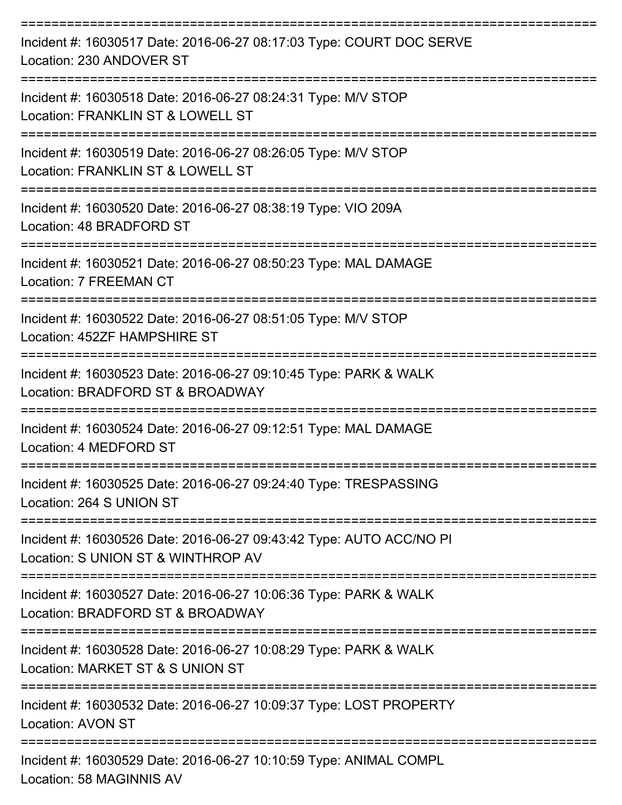| Incident #: 16030517 Date: 2016-06-27 08:17:03 Type: COURT DOC SERVE<br>Location: 230 ANDOVER ST                                   |
|------------------------------------------------------------------------------------------------------------------------------------|
| Incident #: 16030518 Date: 2016-06-27 08:24:31 Type: M/V STOP<br>Location: FRANKLIN ST & LOWELL ST                                 |
| Incident #: 16030519 Date: 2016-06-27 08:26:05 Type: M/V STOP<br>Location: FRANKLIN ST & LOWELL ST                                 |
| Incident #: 16030520 Date: 2016-06-27 08:38:19 Type: VIO 209A<br>Location: 48 BRADFORD ST                                          |
| Incident #: 16030521 Date: 2016-06-27 08:50:23 Type: MAL DAMAGE<br><b>Location: 7 FREEMAN CT</b>                                   |
| Incident #: 16030522 Date: 2016-06-27 08:51:05 Type: M/V STOP<br>Location: 452ZF HAMPSHIRE ST                                      |
| Incident #: 16030523 Date: 2016-06-27 09:10:45 Type: PARK & WALK<br>Location: BRADFORD ST & BROADWAY                               |
| Incident #: 16030524 Date: 2016-06-27 09:12:51 Type: MAL DAMAGE<br>Location: 4 MEDFORD ST                                          |
| Incident #: 16030525 Date: 2016-06-27 09:24:40 Type: TRESPASSING<br>Location: 264 S UNION ST                                       |
| =====================<br>Incident #: 16030526 Date: 2016-06-27 09:43:42 Type: AUTO ACC/NO PI<br>Location: S UNION ST & WINTHROP AV |
| Incident #: 16030527 Date: 2016-06-27 10:06:36 Type: PARK & WALK<br>Location: BRADFORD ST & BROADWAY                               |
| Incident #: 16030528 Date: 2016-06-27 10:08:29 Type: PARK & WALK<br>Location: MARKET ST & S UNION ST                               |
| Incident #: 16030532 Date: 2016-06-27 10:09:37 Type: LOST PROPERTY<br><b>Location: AVON ST</b>                                     |
| Incident #: 16030529 Date: 2016-06-27 10:10:59 Type: ANIMAL COMPL<br>Location: 58 MAGINNIS AV                                      |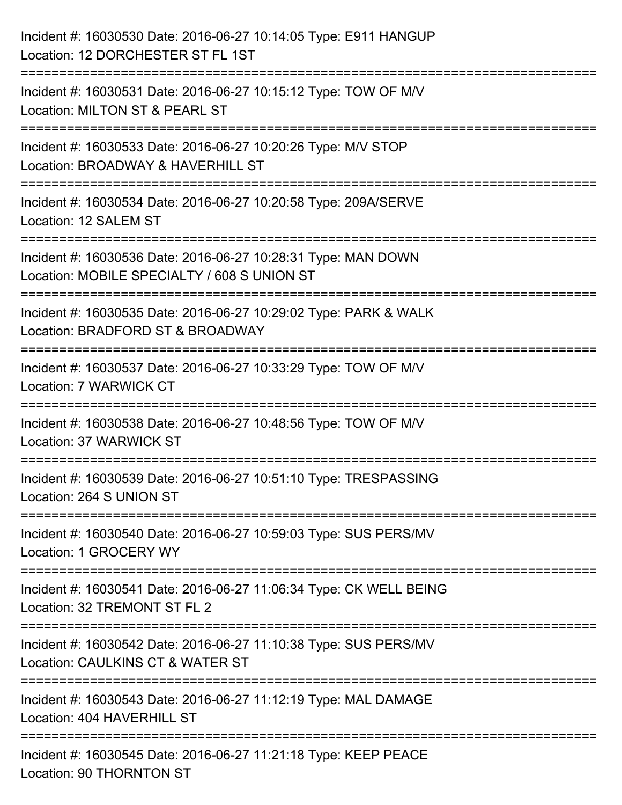| Incident #: 16030530 Date: 2016-06-27 10:14:05 Type: E911 HANGUP<br>Location: 12 DORCHESTER ST FL 1ST                                     |
|-------------------------------------------------------------------------------------------------------------------------------------------|
| =======================<br>Incident #: 16030531 Date: 2016-06-27 10:15:12 Type: TOW OF M/V<br>Location: MILTON ST & PEARL ST              |
| Incident #: 16030533 Date: 2016-06-27 10:20:26 Type: M/V STOP<br>Location: BROADWAY & HAVERHILL ST<br>=================================== |
| Incident #: 16030534 Date: 2016-06-27 10:20:58 Type: 209A/SERVE<br>Location: 12 SALEM ST                                                  |
| Incident #: 16030536 Date: 2016-06-27 10:28:31 Type: MAN DOWN<br>Location: MOBILE SPECIALTY / 608 S UNION ST<br>----------------          |
| Incident #: 16030535 Date: 2016-06-27 10:29:02 Type: PARK & WALK<br>Location: BRADFORD ST & BROADWAY                                      |
| Incident #: 16030537 Date: 2016-06-27 10:33:29 Type: TOW OF M/V<br>Location: 7 WARWICK CT                                                 |
| Incident #: 16030538 Date: 2016-06-27 10:48:56 Type: TOW OF M/V<br>Location: 37 WARWICK ST                                                |
| Incident #: 16030539 Date: 2016-06-27 10:51:10 Type: TRESPASSING<br>Location: 264 S UNION ST                                              |
| Incident #: 16030540 Date: 2016-06-27 10:59:03 Type: SUS PERS/MV<br>Location: 1 GROCERY WY                                                |
| Incident #: 16030541 Date: 2016-06-27 11:06:34 Type: CK WELL BEING<br>Location: 32 TREMONT ST FL 2                                        |
| Incident #: 16030542 Date: 2016-06-27 11:10:38 Type: SUS PERS/MV<br>Location: CAULKINS CT & WATER ST                                      |
| Incident #: 16030543 Date: 2016-06-27 11:12:19 Type: MAL DAMAGE<br>Location: 404 HAVERHILL ST                                             |
| Incident #: 16030545 Date: 2016-06-27 11:21:18 Type: KEEP PEACE<br>Location: 90 THORNTON ST                                               |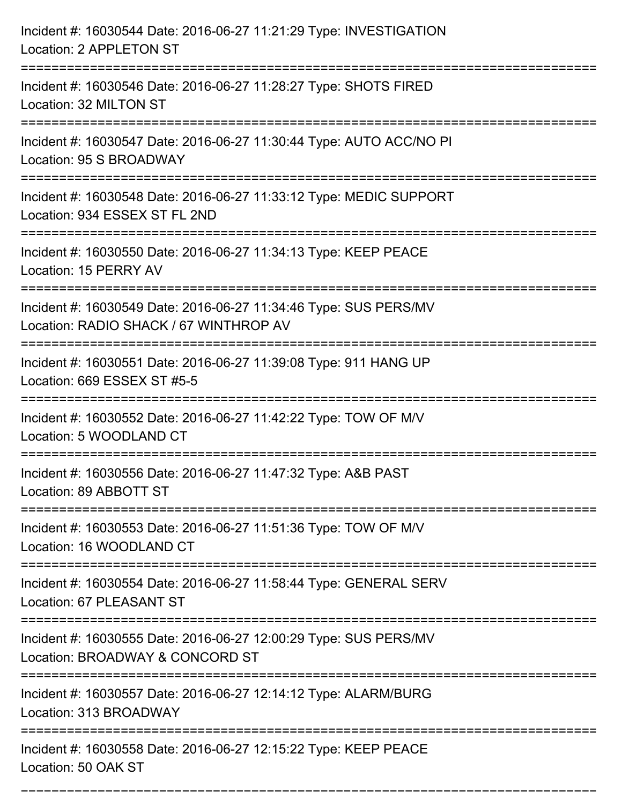| Incident #: 16030544 Date: 2016-06-27 11:21:29 Type: INVESTIGATION<br>Location: 2 APPLETON ST                                                                              |
|----------------------------------------------------------------------------------------------------------------------------------------------------------------------------|
| Incident #: 16030546 Date: 2016-06-27 11:28:27 Type: SHOTS FIRED<br>Location: 32 MILTON ST                                                                                 |
| Incident #: 16030547 Date: 2016-06-27 11:30:44 Type: AUTO ACC/NO PI<br>Location: 95 S BROADWAY<br>:===================================                                     |
| Incident #: 16030548 Date: 2016-06-27 11:33:12 Type: MEDIC SUPPORT<br>Location: 934 ESSEX ST FL 2ND                                                                        |
| Incident #: 16030550 Date: 2016-06-27 11:34:13 Type: KEEP PEACE<br>Location: 15 PERRY AV                                                                                   |
| Incident #: 16030549 Date: 2016-06-27 11:34:46 Type: SUS PERS/MV<br>Location: RADIO SHACK / 67 WINTHROP AV                                                                 |
| Incident #: 16030551 Date: 2016-06-27 11:39:08 Type: 911 HANG UP<br>Location: 669 ESSEX ST #5-5<br>=================================<br>================================== |
| Incident #: 16030552 Date: 2016-06-27 11:42:22 Type: TOW OF M/V<br>Location: 5 WOODLAND CT                                                                                 |
| Incident #: 16030556 Date: 2016-06-27 11:47:32 Type: A&B PAST<br>Location: 89 ABBOTT ST                                                                                    |
| Incident #: 16030553 Date: 2016-06-27 11:51:36 Type: TOW OF M/V<br>Location: 16 WOODLAND CT<br>---------------------------------                                           |
| Incident #: 16030554 Date: 2016-06-27 11:58:44 Type: GENERAL SERV<br>Location: 67 PLEASANT ST                                                                              |
| Incident #: 16030555 Date: 2016-06-27 12:00:29 Type: SUS PERS/MV<br>Location: BROADWAY & CONCORD ST                                                                        |
| Incident #: 16030557 Date: 2016-06-27 12:14:12 Type: ALARM/BURG<br>Location: 313 BROADWAY                                                                                  |
| Incident #: 16030558 Date: 2016-06-27 12:15:22 Type: KEEP PEACE<br>Location: 50 OAK ST                                                                                     |

===========================================================================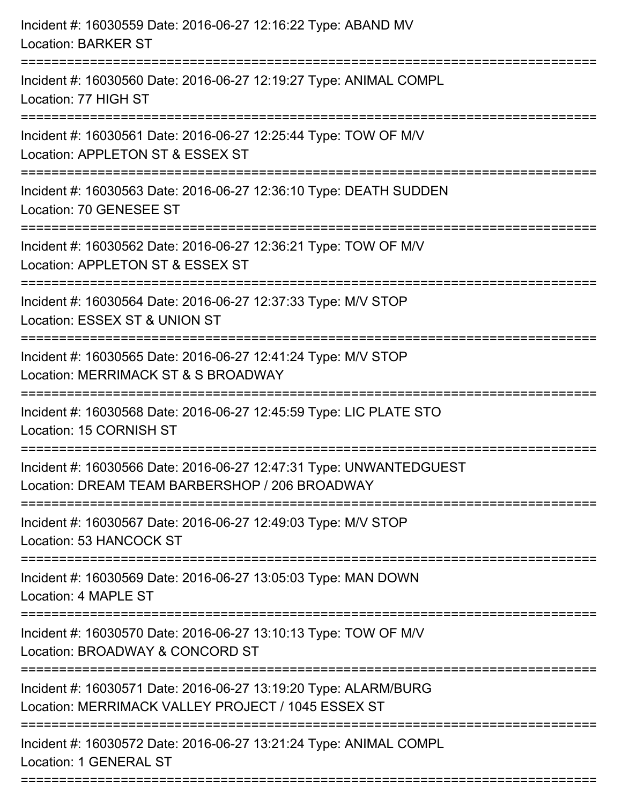| Incident #: 16030559 Date: 2016-06-27 12:16:22 Type: ABAND MV<br><b>Location: BARKER ST</b>                                   |
|-------------------------------------------------------------------------------------------------------------------------------|
| Incident #: 16030560 Date: 2016-06-27 12:19:27 Type: ANIMAL COMPL<br>Location: 77 HIGH ST                                     |
| Incident #: 16030561 Date: 2016-06-27 12:25:44 Type: TOW OF M/V<br>Location: APPLETON ST & ESSEX ST                           |
| Incident #: 16030563 Date: 2016-06-27 12:36:10 Type: DEATH SUDDEN<br>Location: 70 GENESEE ST                                  |
| Incident #: 16030562 Date: 2016-06-27 12:36:21 Type: TOW OF M/V<br>Location: APPLETON ST & ESSEX ST                           |
| Incident #: 16030564 Date: 2016-06-27 12:37:33 Type: M/V STOP<br>Location: ESSEX ST & UNION ST                                |
| Incident #: 16030565 Date: 2016-06-27 12:41:24 Type: M/V STOP<br>Location: MERRIMACK ST & S BROADWAY                          |
| Incident #: 16030568 Date: 2016-06-27 12:45:59 Type: LIC PLATE STO<br>Location: 15 CORNISH ST                                 |
| Incident #: 16030566 Date: 2016-06-27 12:47:31 Type: UNWANTEDGUEST<br>Location: DREAM TEAM BARBERSHOP / 206 BROADWAY          |
| Incident #: 16030567 Date: 2016-06-27 12:49:03 Type: M/V STOP<br>Location: 53 HANCOCK ST                                      |
| Incident #: 16030569 Date: 2016-06-27 13:05:03 Type: MAN DOWN<br>Location: 4 MAPLE ST                                         |
| -----------------------<br>Incident #: 16030570 Date: 2016-06-27 13:10:13 Type: TOW OF M/V<br>Location: BROADWAY & CONCORD ST |
| Incident #: 16030571 Date: 2016-06-27 13:19:20 Type: ALARM/BURG<br>Location: MERRIMACK VALLEY PROJECT / 1045 ESSEX ST         |
| Incident #: 16030572 Date: 2016-06-27 13:21:24 Type: ANIMAL COMPL<br><b>Location: 1 GENERAL ST</b>                            |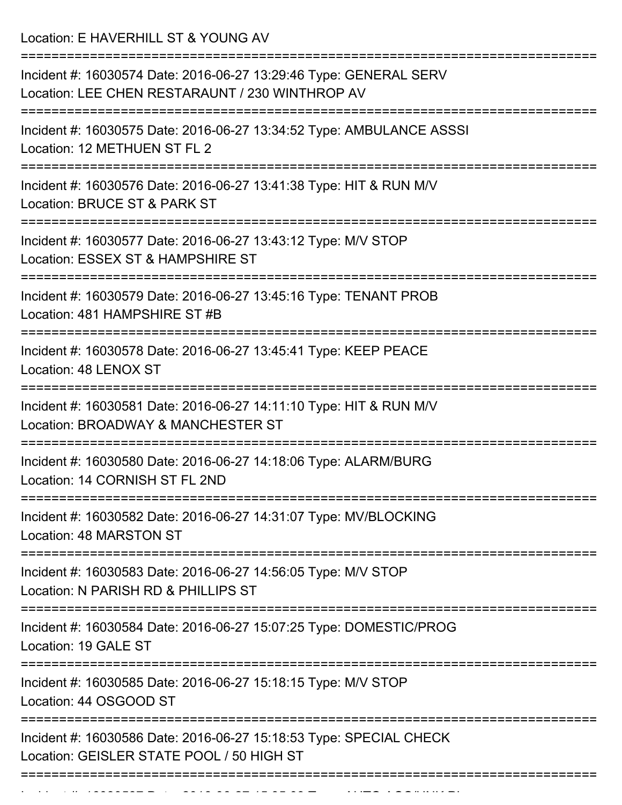Location: E HAVERHILL ST & YOUNG AV

| Incident #: 16030574 Date: 2016-06-27 13:29:46 Type: GENERAL SERV<br>Location: LEE CHEN RESTARAUNT / 230 WINTHROP AV                                                    |
|-------------------------------------------------------------------------------------------------------------------------------------------------------------------------|
| Incident #: 16030575 Date: 2016-06-27 13:34:52 Type: AMBULANCE ASSSI<br>Location: 12 METHUEN ST FL 2                                                                    |
| Incident #: 16030576 Date: 2016-06-27 13:41:38 Type: HIT & RUN M/V<br>Location: BRUCE ST & PARK ST                                                                      |
| Incident #: 16030577 Date: 2016-06-27 13:43:12 Type: M/V STOP<br>Location: ESSEX ST & HAMPSHIRE ST                                                                      |
| Incident #: 16030579 Date: 2016-06-27 13:45:16 Type: TENANT PROB<br>Location: 481 HAMPSHIRE ST #B                                                                       |
| Incident #: 16030578 Date: 2016-06-27 13:45:41 Type: KEEP PEACE<br>Location: 48 LENOX ST                                                                                |
| Incident #: 16030581 Date: 2016-06-27 14:11:10 Type: HIT & RUN M/V<br>Location: BROADWAY & MANCHESTER ST                                                                |
| Incident #: 16030580 Date: 2016-06-27 14:18:06 Type: ALARM/BURG<br>Location: 14 CORNISH ST FL 2ND                                                                       |
| Incident #: 16030582 Date: 2016-06-27 14:31:07 Type: MV/BLOCKING<br>Location: 48 MARSTON ST                                                                             |
| ========================<br>===================================<br>Incident #: 16030583 Date: 2016-06-27 14:56:05 Type: M/V STOP<br>Location: N PARISH RD & PHILLIPS ST |
| Incident #: 16030584 Date: 2016-06-27 15:07:25 Type: DOMESTIC/PROG<br>Location: 19 GALE ST                                                                              |
| Incident #: 16030585 Date: 2016-06-27 15:18:15 Type: M/V STOP<br>Location: 44 OSGOOD ST                                                                                 |
| Incident #: 16030586 Date: 2016-06-27 15:18:53 Type: SPECIAL CHECK<br>Location: GEISLER STATE POOL / 50 HIGH ST                                                         |
|                                                                                                                                                                         |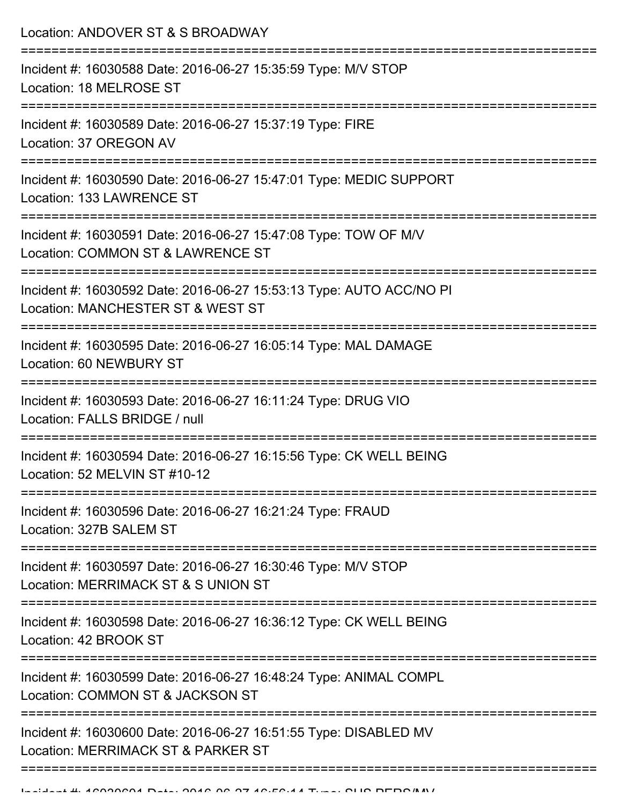| Location: ANDOVER ST & S BROADWAY                                                                        |
|----------------------------------------------------------------------------------------------------------|
| Incident #: 16030588 Date: 2016-06-27 15:35:59 Type: M/V STOP<br>Location: 18 MELROSE ST                 |
| Incident #: 16030589 Date: 2016-06-27 15:37:19 Type: FIRE<br>Location: 37 OREGON AV                      |
| Incident #: 16030590 Date: 2016-06-27 15:47:01 Type: MEDIC SUPPORT<br>Location: 133 LAWRENCE ST          |
| Incident #: 16030591 Date: 2016-06-27 15:47:08 Type: TOW OF M/V<br>Location: COMMON ST & LAWRENCE ST     |
| Incident #: 16030592 Date: 2016-06-27 15:53:13 Type: AUTO ACC/NO PI<br>Location: MANCHESTER ST & WEST ST |
| Incident #: 16030595 Date: 2016-06-27 16:05:14 Type: MAL DAMAGE<br>Location: 60 NEWBURY ST               |
| Incident #: 16030593 Date: 2016-06-27 16:11:24 Type: DRUG VIO<br>Location: FALLS BRIDGE / null           |
| Incident #: 16030594 Date: 2016-06-27 16:15:56 Type: CK WELL BEING<br>Location: 52 MELVIN ST #10-12      |
| Incident #: 16030596 Date: 2016-06-27 16:21:24 Type: FRAUD<br>Location: 327B SALEM ST                    |
| Incident #: 16030597 Date: 2016-06-27 16:30:46 Type: M/V STOP<br>Location: MERRIMACK ST & S UNION ST     |
| Incident #: 16030598 Date: 2016-06-27 16:36:12 Type: CK WELL BEING<br>Location: 42 BROOK ST              |
| Incident #: 16030599 Date: 2016-06-27 16:48:24 Type: ANIMAL COMPL<br>Location: COMMON ST & JACKSON ST    |
| Incident #: 16030600 Date: 2016-06-27 16:51:55 Type: DISABLED MV<br>Location: MERRIMACK ST & PARKER ST   |
|                                                                                                          |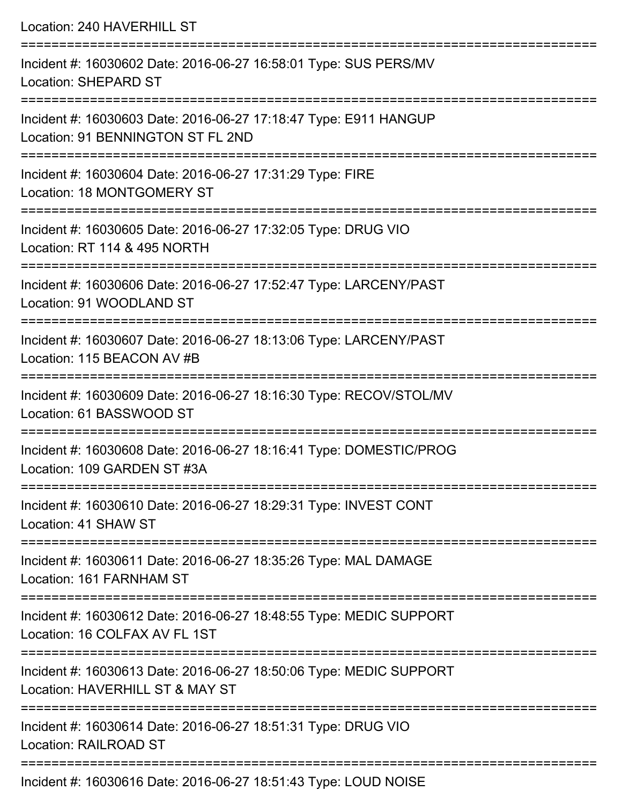Location: 240 HAVERHILL ST =========================================================================== Incident #: 16030602 Date: 2016-06-27 16:58:01 Type: SUS PERS/MV Location: SHEPARD ST =========================================================================== Incident #: 16030603 Date: 2016-06-27 17:18:47 Type: E911 HANGUP Location: 91 BENNINGTON ST FL 2ND =========================================================================== Incident #: 16030604 Date: 2016-06-27 17:31:29 Type: FIRE Location: 18 MONTGOMERY ST =========================================================================== Incident #: 16030605 Date: 2016-06-27 17:32:05 Type: DRUG VIO Location: RT 114 & 495 NORTH =========================================================================== Incident #: 16030606 Date: 2016-06-27 17:52:47 Type: LARCENY/PAST Location: 91 WOODLAND ST =========================================================================== Incident #: 16030607 Date: 2016-06-27 18:13:06 Type: LARCENY/PAST Location: 115 BEACON AV #B =========================================================================== Incident #: 16030609 Date: 2016-06-27 18:16:30 Type: RECOV/STOL/MV Location: 61 BASSWOOD ST =========================================================================== Incident #: 16030608 Date: 2016-06-27 18:16:41 Type: DOMESTIC/PROG Location: 109 GARDEN ST #3A =========================================================================== Incident #: 16030610 Date: 2016-06-27 18:29:31 Type: INVEST CONT Location: 41 SHAW ST =========================================================================== Incident #: 16030611 Date: 2016-06-27 18:35:26 Type: MAL DAMAGE Location: 161 FARNHAM ST =========================================================================== Incident #: 16030612 Date: 2016-06-27 18:48:55 Type: MEDIC SUPPORT Location: 16 COLFAX AV FL 1ST =========================================================================== Incident #: 16030613 Date: 2016-06-27 18:50:06 Type: MEDIC SUPPORT Location: HAVERHILL ST & MAY ST =========================================================================== Incident #: 16030614 Date: 2016-06-27 18:51:31 Type: DRUG VIO Location: RAILROAD ST ===========================================================================

Incident #: 16030616 Date: 2016-06-27 18:51:43 Type: LOUD NOISE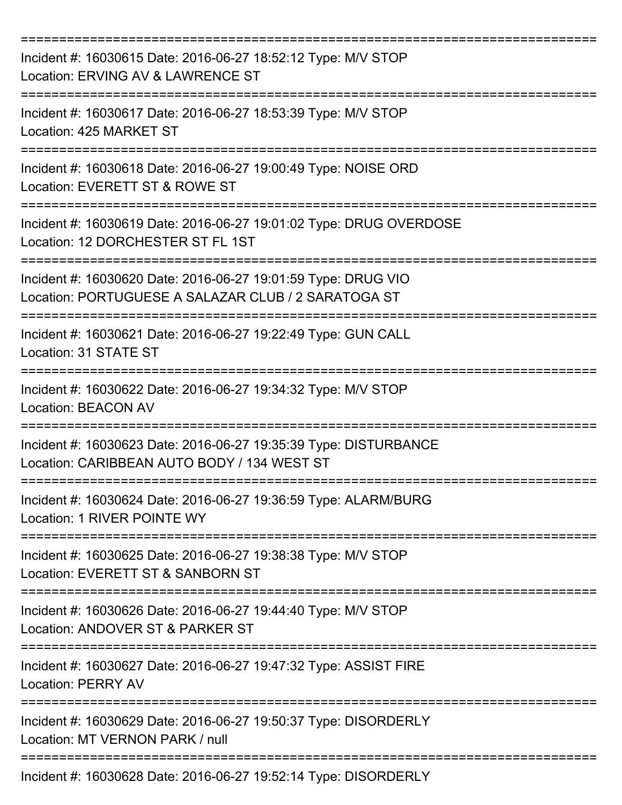| Incident #: 16030615 Date: 2016-06-27 18:52:12 Type: M/V STOP<br>Location: ERVING AV & LAWRENCE ST                   |
|----------------------------------------------------------------------------------------------------------------------|
| Incident #: 16030617 Date: 2016-06-27 18:53:39 Type: M/V STOP<br>Location: 425 MARKET ST                             |
| Incident #: 16030618 Date: 2016-06-27 19:00:49 Type: NOISE ORD<br>Location: EVERETT ST & ROWE ST                     |
| Incident #: 16030619 Date: 2016-06-27 19:01:02 Type: DRUG OVERDOSE<br>Location: 12 DORCHESTER ST FL 1ST              |
| Incident #: 16030620 Date: 2016-06-27 19:01:59 Type: DRUG VIO<br>Location: PORTUGUESE A SALAZAR CLUB / 2 SARATOGA ST |
| Incident #: 16030621 Date: 2016-06-27 19:22:49 Type: GUN CALL<br>Location: 31 STATE ST                               |
| Incident #: 16030622 Date: 2016-06-27 19:34:32 Type: M/V STOP<br><b>Location: BEACON AV</b>                          |
| Incident #: 16030623 Date: 2016-06-27 19:35:39 Type: DISTURBANCE<br>Location: CARIBBEAN AUTO BODY / 134 WEST ST      |
| Incident #: 16030624 Date: 2016-06-27 19:36:59 Type: ALARM/BURG<br>Location: 1 RIVER POINTE WY                       |
| Incident #: 16030625 Date: 2016-06-27 19:38:38 Type: M/V STOP<br>Location: EVERETT ST & SANBORN ST                   |
| Incident #: 16030626 Date: 2016-06-27 19:44:40 Type: M/V STOP<br>Location: ANDOVER ST & PARKER ST                    |
| Incident #: 16030627 Date: 2016-06-27 19:47:32 Type: ASSIST FIRE<br><b>Location: PERRY AV</b>                        |
| Incident #: 16030629 Date: 2016-06-27 19:50:37 Type: DISORDERLY<br>Location: MT VERNON PARK / null                   |
| Incident #: 16030628 Date: 2016-06-27 19:52:14 Type: DISORDERLY                                                      |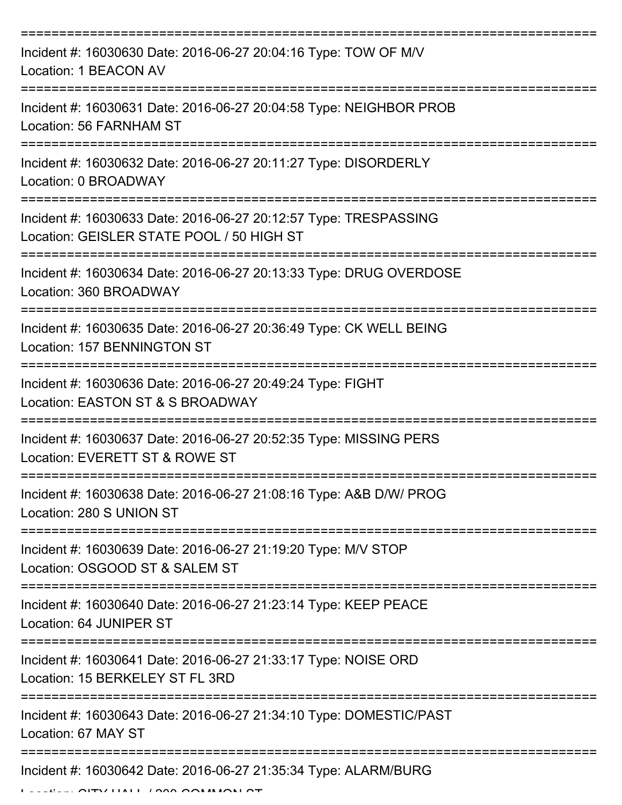| Incident #: 16030630 Date: 2016-06-27 20:04:16 Type: TOW OF M/V<br>Location: 1 BEACON AV                                                    |
|---------------------------------------------------------------------------------------------------------------------------------------------|
| Incident #: 16030631 Date: 2016-06-27 20:04:58 Type: NEIGHBOR PROB<br>Location: 56 FARNHAM ST                                               |
| Incident #: 16030632 Date: 2016-06-27 20:11:27 Type: DISORDERLY<br>Location: 0 BROADWAY                                                     |
| Incident #: 16030633 Date: 2016-06-27 20:12:57 Type: TRESPASSING<br>Location: GEISLER STATE POOL / 50 HIGH ST                               |
| Incident #: 16030634 Date: 2016-06-27 20:13:33 Type: DRUG OVERDOSE<br>Location: 360 BROADWAY                                                |
| ======================================<br>Incident #: 16030635 Date: 2016-06-27 20:36:49 Type: CK WELL BEING<br>Location: 157 BENNINGTON ST |
| Incident #: 16030636 Date: 2016-06-27 20:49:24 Type: FIGHT<br>Location: EASTON ST & S BROADWAY                                              |
| Incident #: 16030637 Date: 2016-06-27 20:52:35 Type: MISSING PERS<br>Location: EVERETT ST & ROWE ST                                         |
| Incident #: 16030638 Date: 2016-06-27 21:08:16 Type: A&B D/W/ PROG<br>Location: 280 S UNION ST                                              |
| Incident #: 16030639 Date: 2016-06-27 21:19:20 Type: M/V STOP<br>Location: OSGOOD ST & SALEM ST                                             |
| Incident #: 16030640 Date: 2016-06-27 21:23:14 Type: KEEP PEACE<br>Location: 64 JUNIPER ST                                                  |
| Incident #: 16030641 Date: 2016-06-27 21:33:17 Type: NOISE ORD<br>Location: 15 BERKELEY ST FL 3RD                                           |
| Incident #: 16030643 Date: 2016-06-27 21:34:10 Type: DOMESTIC/PAST<br>Location: 67 MAY ST                                                   |
| Incident #: 16030642 Date: 2016-06-27 21:35:34 Type: ALARM/BURG                                                                             |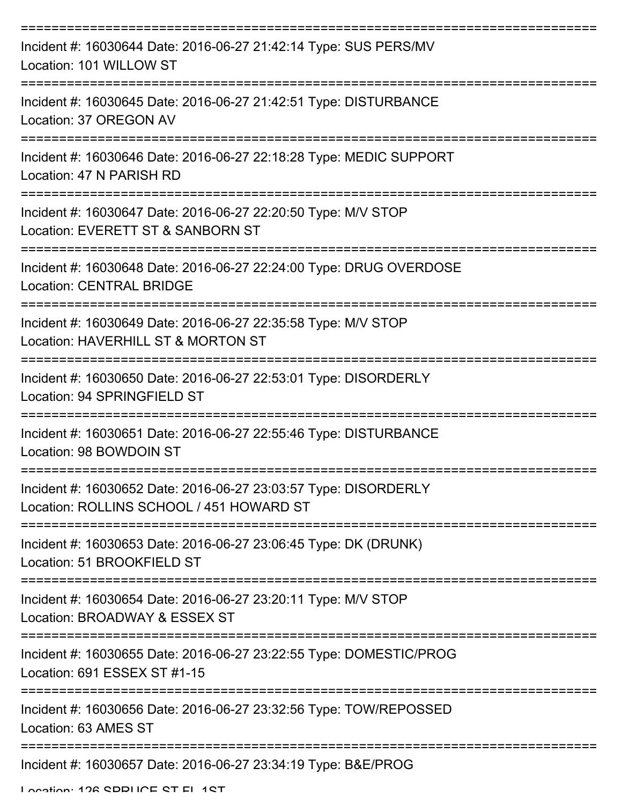| Incident #: 16030644 Date: 2016-06-27 21:42:14 Type: SUS PERS/MV<br>Location: 101 WILLOW ST                 |
|-------------------------------------------------------------------------------------------------------------|
| Incident #: 16030645 Date: 2016-06-27 21:42:51 Type: DISTURBANCE<br>Location: 37 OREGON AV                  |
| Incident #: 16030646 Date: 2016-06-27 22:18:28 Type: MEDIC SUPPORT<br>Location: 47 N PARISH RD              |
| Incident #: 16030647 Date: 2016-06-27 22:20:50 Type: M/V STOP<br>Location: EVERETT ST & SANBORN ST          |
| Incident #: 16030648 Date: 2016-06-27 22:24:00 Type: DRUG OVERDOSE<br><b>Location: CENTRAL BRIDGE</b>       |
| Incident #: 16030649 Date: 2016-06-27 22:35:58 Type: M/V STOP<br>Location: HAVERHILL ST & MORTON ST         |
| Incident #: 16030650 Date: 2016-06-27 22:53:01 Type: DISORDERLY<br>Location: 94 SPRINGFIELD ST              |
| Incident #: 16030651 Date: 2016-06-27 22:55:46 Type: DISTURBANCE<br>Location: 98 BOWDOIN ST                 |
| Incident #: 16030652 Date: 2016-06-27 23:03:57 Type: DISORDERLY<br>Location: ROLLINS SCHOOL / 451 HOWARD ST |
| Incident #: 16030653 Date: 2016-06-27 23:06:45 Type: DK (DRUNK)<br>Location: 51 BROOKFIELD ST               |
| Incident #: 16030654 Date: 2016-06-27 23:20:11 Type: M/V STOP<br>Location: BROADWAY & ESSEX ST              |
| Incident #: 16030655 Date: 2016-06-27 23:22:55 Type: DOMESTIC/PROG<br>Location: 691 ESSEX ST #1-15          |
| Incident #: 16030656 Date: 2016-06-27 23:32:56 Type: TOW/REPOSSED<br>Location: 63 AMES ST                   |
| Incident #: 16030657 Date: 2016-06-27 23:34:19 Type: B&E/PROG                                               |

Location: 126 SDDLICE ST EL 1ST